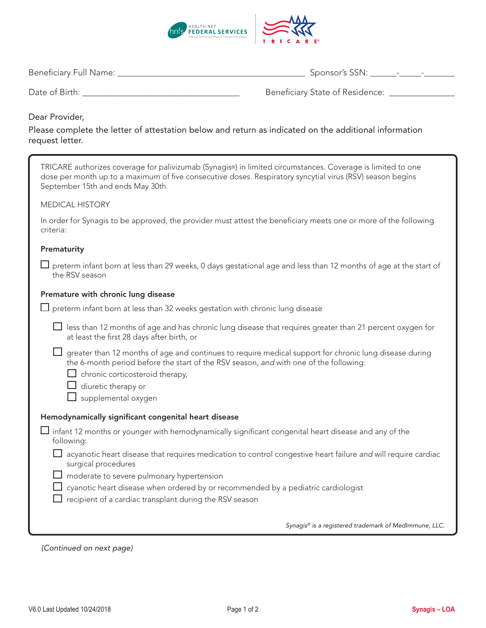

| <b>Beneficiary Full Name:</b><br>$\overline{\mathsf{S}}$ ponsor's SSN $\cdot$ |  |  | $\sim$ |
|-------------------------------------------------------------------------------|--|--|--------|
|-------------------------------------------------------------------------------|--|--|--------|

|  | Date of Birth: |  |
|--|----------------|--|
|  |                |  |

Date of Birth: \_\_\_\_\_\_\_\_\_\_\_\_\_\_\_\_\_\_\_\_\_\_\_\_\_\_\_\_\_\_\_\_\_\_\_\_ Beneficiary State of Residence: \_\_\_\_\_\_\_\_\_\_\_\_\_\_\_

## Dear Provider,

Please complete the letter of attestation below and return as indicated on the additional information request letter.

| TRICARE authorizes coverage for palivizumab (Synagis®) in limited circumstances. Coverage is limited to one<br>dose per month up to a maximum of five consecutive doses. Respiratory syncytial virus (RSV) season begins<br>September 15th and ends May 30th. |
|---------------------------------------------------------------------------------------------------------------------------------------------------------------------------------------------------------------------------------------------------------------|
| <b>MEDICAL HISTORY</b>                                                                                                                                                                                                                                        |
| In order for Synagis to be approved, the provider must attest the beneficiary meets one or more of the following<br>criteria:                                                                                                                                 |
| Prematurity                                                                                                                                                                                                                                                   |
| $\Box$ preterm infant born at less than 29 weeks, 0 days gestational age and less than 12 months of age at the start of<br>the RSV season                                                                                                                     |
| Premature with chronic lung disease                                                                                                                                                                                                                           |
| $\Box$ preterm infant born at less than 32 weeks gestation with chronic lung disease                                                                                                                                                                          |
| $\Box$ less than 12 months of age and has chronic lung disease that requires greater than 21 percent oxygen for<br>at least the first 28 days after birth, or                                                                                                 |
| greater than 12 months of age and continues to require medical support for chronic lung disease during<br>the 6-month period before the start of the RSV season, and with one of the following:                                                               |
| $\Box$ chronic corticosteroid therapy,<br>$\Box$ diuretic therapy or                                                                                                                                                                                          |
| $\Box$ supplemental oxygen                                                                                                                                                                                                                                    |
| Hemodynamically significant congenital heart disease                                                                                                                                                                                                          |
| $\Box$ infant 12 months or younger with hemodynamically significant congenital heart disease and any of the<br>following:                                                                                                                                     |
| LI<br>acyanotic heart disease that requires medication to control congestive heart failure and will require cardiac<br>surgical procedures                                                                                                                    |
| $\Box$ moderate to severe pulmonary hypertension                                                                                                                                                                                                              |
| cyanotic heart disease when ordered by or recommended by a pediatric cardiologist<br>recipient of a cardiac transplant during the RSV season                                                                                                                  |
|                                                                                                                                                                                                                                                               |
| Synagis® is a registered trademark of MedImmune, LLC.                                                                                                                                                                                                         |
|                                                                                                                                                                                                                                                               |

*(Continued on next page)*